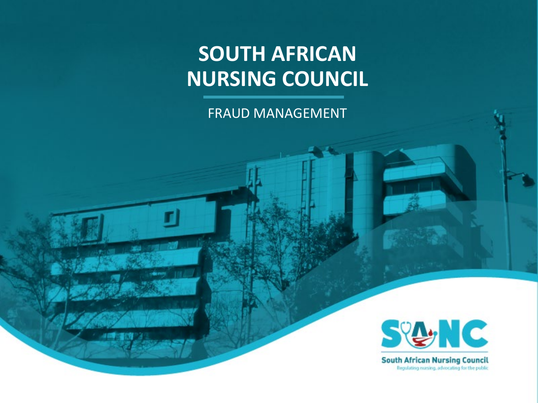### **SOUTH AFRICAN NURSING COUNCIL**

FRAUD MANAGEMENT



**South African Nursing Council** Regulating nursing, advocating for the public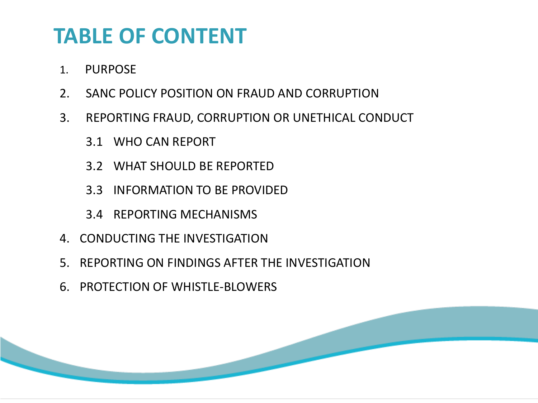### **TABLE OF CONTENT**

- 1. PURPOSE
- 2. SANC POLICY POSITION ON FRAUD AND CORRUPTION
- 3. REPORTING FRAUD, CORRUPTION OR UNETHICAL CONDUCT
	- 3.1 WHO CAN REPORT
	- 3.2 WHAT SHOULD BE REPORTED
	- 3.3 INFORMATION TO BE PROVIDED
	- 3.4 REPORTING MECHANISMS
- 4. CONDUCTING THE INVESTIGATION
- 5. REPORTING ON FINDINGS AFTER THE INVESTIGATION
- 6. PROTECTION OF WHISTLE-BLOWERS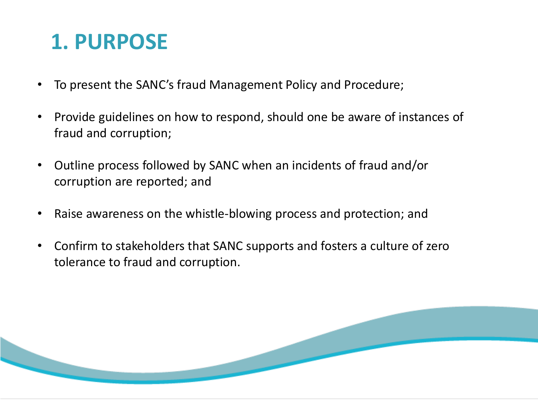## **1. PURPOSE**

- To present the SANC's fraud Management Policy and Procedure;
- Provide guidelines on how to respond, should one be aware of instances of fraud and corruption;
- Outline process followed by SANC when an incidents of fraud and/or corruption are reported; and
- Raise awareness on the whistle-blowing process and protection; and
- Confirm to stakeholders that SANC supports and fosters a culture of zero tolerance to fraud and corruption.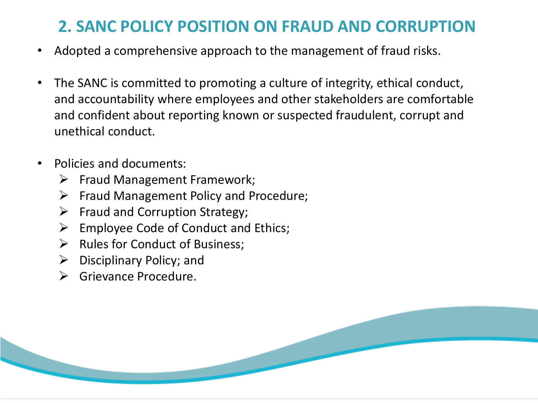#### **2. SANC POLICY POSITION ON FRAUD AND CORRUPTION**

- Adopted a comprehensive approach to the management of fraud risks.
- The SANC is committed to promoting a culture of integrity, ethical conduct, and accountability where employees and other stakeholders are comfortable and confident about reporting known or suspected fraudulent, corrupt and unethical conduct.
- Policies and documents:
	- $\triangleright$  Fraud Management Framework;
	- $\triangleright$  Fraud Management Policy and Procedure;
	- $\triangleright$  Fraud and Corruption Strategy;
	- $\triangleright$  Employee Code of Conduct and Ethics;
	- $\triangleright$  Rules for Conduct of Business;
	- $\triangleright$  Disciplinary Policy; and
	- $\triangleright$  Grievance Procedure.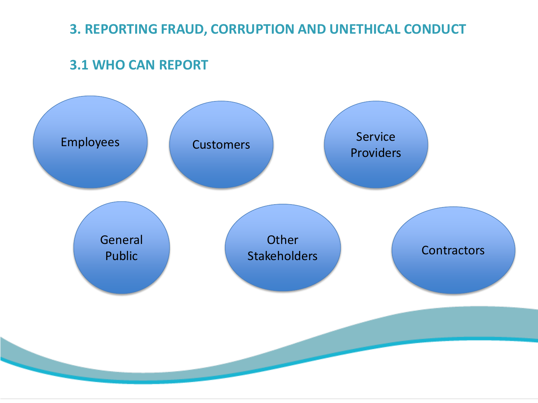#### **3. REPORTING FRAUD, CORRUPTION AND UNETHICAL CONDUCT**

#### **3.1 WHO CAN REPORT**

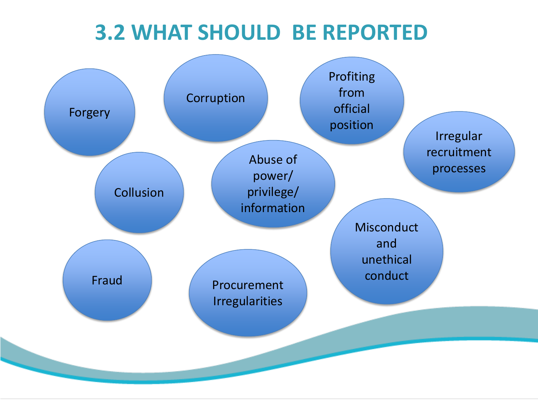### **3.2 WHAT SHOULD BE REPORTED**

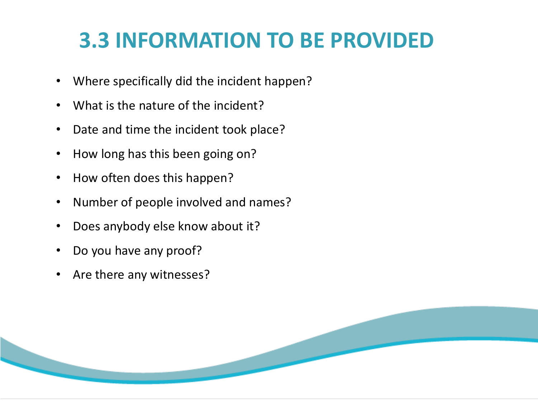## **3.3 INFORMATION TO BE PROVIDED**

- Where specifically did the incident happen?
- What is the nature of the incident?
- Date and time the incident took place?
- How long has this been going on?
- How often does this happen?
- Number of people involved and names?
- Does anybody else know about it?
- Do you have any proof?
- Are there any witnesses?

![](_page_6_Picture_10.jpeg)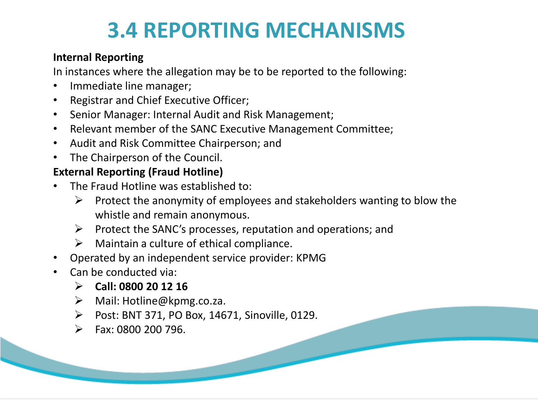### **3.4 REPORTING MECHANISMS**

#### **Internal Reporting**

In instances where the allegation may be to be reported to the following:

- Immediate line manager;
- Registrar and Chief Executive Officer;
- Senior Manager: Internal Audit and Risk Management;
- Relevant member of the SANC Executive Management Committee;
- Audit and Risk Committee Chairperson; and
- The Chairperson of the Council.

#### **External Reporting (Fraud Hotline)**

- The Fraud Hotline was established to:
	- $\triangleright$  Protect the anonymity of employees and stakeholders wanting to blow the whistle and remain anonymous.
	- $\triangleright$  Protect the SANC's processes, reputation and operations; and
	- $\triangleright$  Maintain a culture of ethical compliance.
- Operated by an independent service provider: KPMG
- Can be conducted via:
	- **Call: 0800 20 12 16**
	- Mail: Hotline@kpmg.co.za.
	- Post: BNT 371, PO Box, 14671, Sinoville, 0129.
	- $\triangleright$  Fax: 0800 200 796.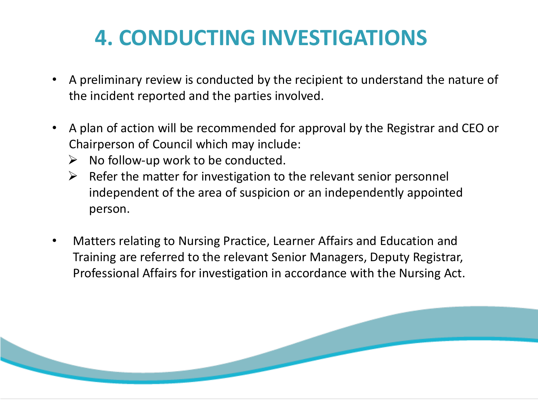## **4. CONDUCTING INVESTIGATIONS**

- A preliminary review is conducted by the recipient to understand the nature of the incident reported and the parties involved.
- A plan of action will be recommended for approval by the Registrar and CEO or Chairperson of Council which may include:
	- $\triangleright$  No follow-up work to be conducted.
	- $\triangleright$  Refer the matter for investigation to the relevant senior personnel independent of the area of suspicion or an independently appointed person.
- Matters relating to Nursing Practice, Learner Affairs and Education and Training are referred to the relevant Senior Managers, Deputy Registrar, Professional Affairs for investigation in accordance with the Nursing Act.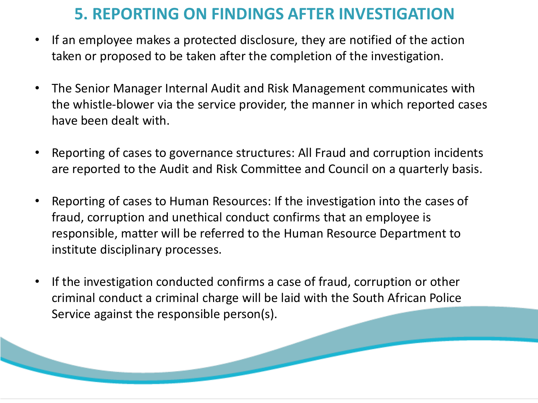#### **5. REPORTING ON FINDINGS AFTER INVESTIGATION**

- If an employee makes a protected disclosure, they are notified of the action taken or proposed to be taken after the completion of the investigation.
- The Senior Manager Internal Audit and Risk Management communicates with the whistle-blower via the service provider, the manner in which reported cases have been dealt with.
- Reporting of cases to governance structures: All Fraud and corruption incidents are reported to the Audit and Risk Committee and Council on a quarterly basis.
- Reporting of cases to Human Resources: If the investigation into the cases of fraud, corruption and unethical conduct confirms that an employee is responsible, matter will be referred to the Human Resource Department to institute disciplinary processes.
- If the investigation conducted confirms a case of fraud, corruption or other criminal conduct a criminal charge will be laid with the South African Police Service against the responsible person(s).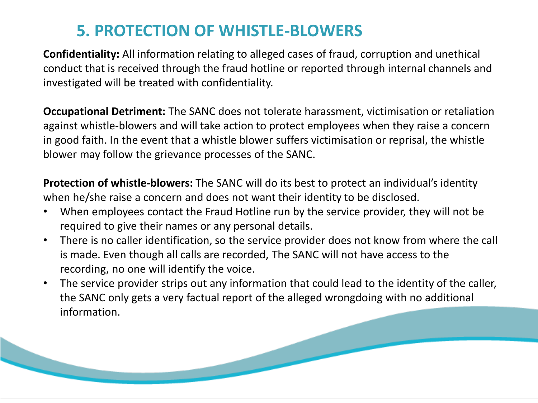#### **5. PROTECTION OF WHISTLE-BLOWERS**

**Confidentiality:** All information relating to alleged cases of fraud, corruption and unethical conduct that is received through the fraud hotline or reported through internal channels and investigated will be treated with confidentiality.

**Occupational Detriment:** The SANC does not tolerate harassment, victimisation or retaliation against whistle-blowers and will take action to protect employees when they raise a concern in good faith. In the event that a whistle blower suffers victimisation or reprisal, the whistle blower may follow the grievance processes of the SANC.

**Protection of whistle-blowers:** The SANC will do its best to protect an individual's identity when he/she raise a concern and does not want their identity to be disclosed.

- When employees contact the Fraud Hotline run by the service provider, they will not be required to give their names or any personal details.
- There is no caller identification, so the service provider does not know from where the call is made. Even though all calls are recorded, The SANC will not have access to the recording, no one will identify the voice.
- The service provider strips out any information that could lead to the identity of the caller, the SANC only gets a very factual report of the alleged wrongdoing with no additional information.